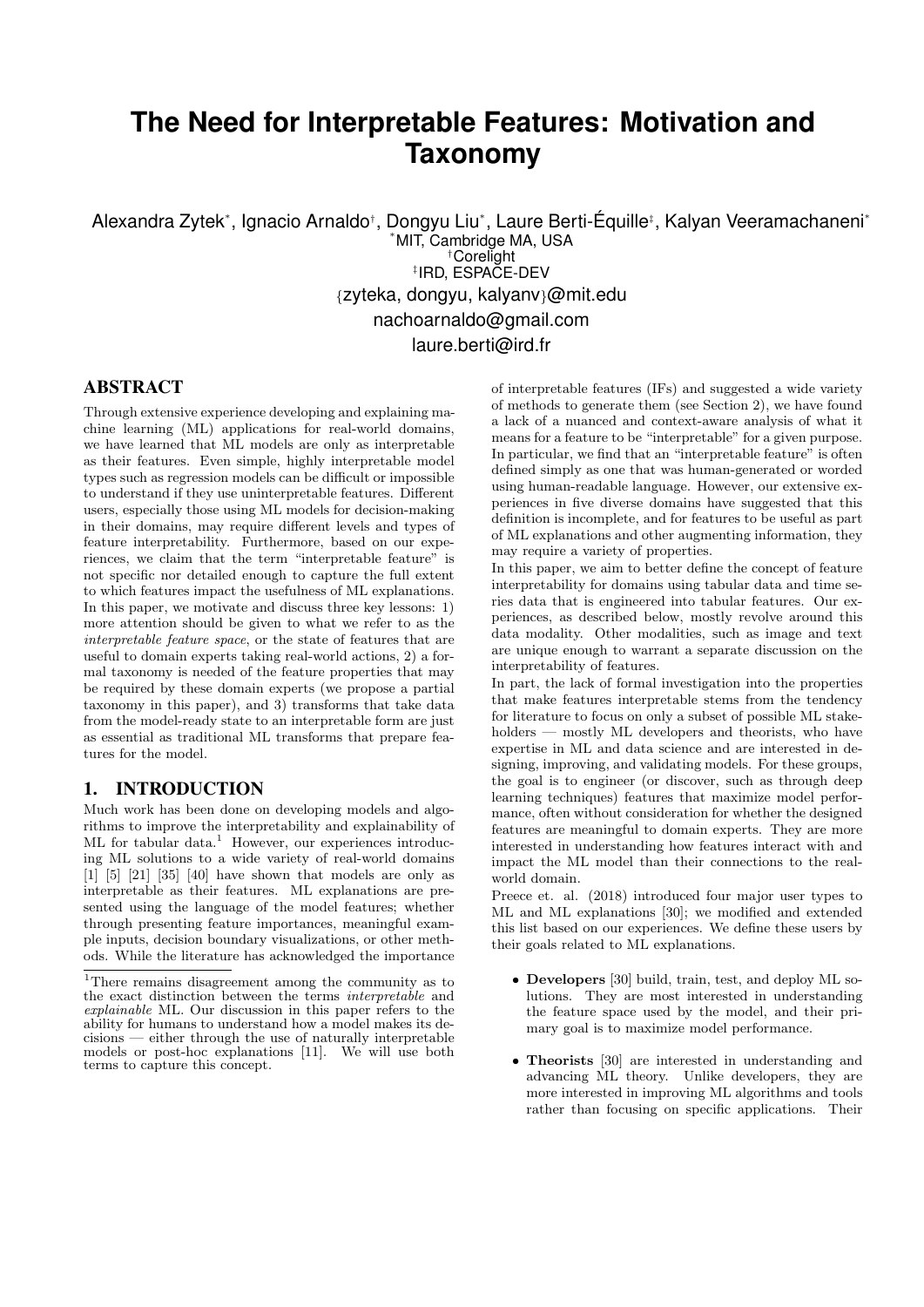# **The Need for Interpretable Features: Motivation and Taxonomy**

Alexandra Zytek\*, Ignacio Arnaldo<sup>†</sup>, Dongyu Liu\*, Laure Berti-Équille‡, Kalyan Veeramachaneni\* \*MIT, Cambridge MA, USA †Corelight ‡ IRD, ESPACE-DEV

{zyteka, dongyu, kalyanv}@mit.edu nachoarnaldo@gmail.com

laure.berti@ird.fr

#### ABSTRACT

Through extensive experience developing and explaining machine learning (ML) applications for real-world domains, we have learned that ML models are only as interpretable as their features. Even simple, highly interpretable model types such as regression models can be difficult or impossible to understand if they use uninterpretable features. Different users, especially those using ML models for decision-making in their domains, may require different levels and types of feature interpretability. Furthermore, based on our experiences, we claim that the term "interpretable feature" is not specific nor detailed enough to capture the full extent to which features impact the usefulness of ML explanations. In this paper, we motivate and discuss three key lessons: 1) more attention should be given to what we refer to as the interpretable feature space, or the state of features that are useful to domain experts taking real-world actions, 2) a formal taxonomy is needed of the feature properties that may be required by these domain experts (we propose a partial taxonomy in this paper), and 3) transforms that take data from the model-ready state to an interpretable form are just as essential as traditional ML transforms that prepare features for the model.

### 1. INTRODUCTION

Much work has been done on developing models and algorithms to improve the interpretability and explainability of ML for tabular data.<sup>1</sup> However, our experiences introducing ML solutions to a wide variety of real-world domains  $[1]$   $[5]$   $[21]$   $[35]$   $[40]$  have shown that models are only as interpretable as their features. ML explanations are presented using the language of the model features; whether through presenting feature importances, meaningful example inputs, decision boundary visualizations, or other methods. While the literature has acknowledged the importance

of interpretable features (IFs) and suggested a wide variety of methods to generate them (see Section 2), we have found a lack of a nuanced and context-aware analysis of what it means for a feature to be "interpretable" for a given purpose. In particular, we find that an "interpretable feature" is often defined simply as one that was human-generated or worded using human-readable language. However, our extensive experiences in five diverse domains have suggested that this definition is incomplete, and for features to be useful as part of ML explanations and other augmenting information, they may require a variety of properties.

In this paper, we aim to better define the concept of feature interpretability for domains using tabular data and time series data that is engineered into tabular features. Our experiences, as described below, mostly revolve around this data modality. Other modalities, such as image and text are unique enough to warrant a separate discussion on the interpretability of features.

In part, the lack of formal investigation into the properties that make features interpretable stems from the tendency for literature to focus on only a subset of possible ML stakeholders — mostly ML developers and theorists, who have expertise in ML and data science and are interested in designing, improving, and validating models. For these groups, the goal is to engineer (or discover, such as through deep learning techniques) features that maximize model performance, often without consideration for whether the designed features are meaningful to domain experts. They are more interested in understanding how features interact with and impact the ML model than their connections to the realworld domain.

Preece et. al. (2018) introduced four major user types to ML and ML explanations [30]; we modified and extended this list based on our experiences. We define these users by their goals related to ML explanations.

- Developers [30] build, train, test, and deploy ML solutions. They are most interested in understanding the feature space used by the model, and their primary goal is to maximize model performance.
- Theorists [30] are interested in understanding and advancing ML theory. Unlike developers, they are more interested in improving ML algorithms and tools rather than focusing on specific applications. Their

<sup>1</sup>There remains disagreement among the community as to the exact distinction between the terms interpretable and explainable ML. Our discussion in this paper refers to the ability for humans to understand how a model makes its decisions — either through the use of naturally interpretable models or post-hoc explanations [11]. We will use both terms to capture this concept.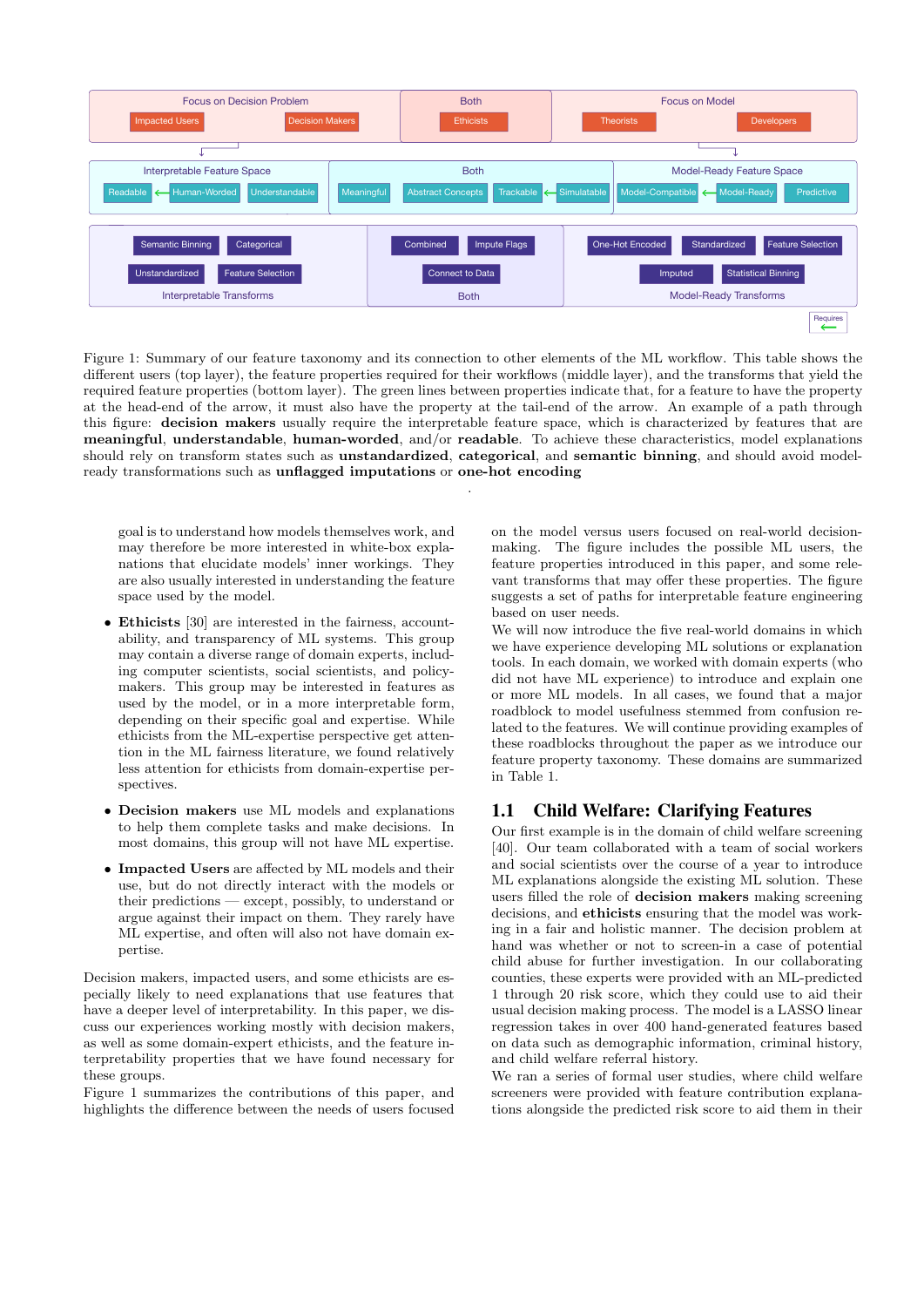

Figure 1: Summary of our feature taxonomy and its connection to other elements of the ML workflow. This table shows the different users (top layer), the feature properties required for their workflows (middle layer), and the transforms that yield the required feature properties (bottom layer). The green lines between properties indicate that, for a feature to have the property at the head-end of the arrow, it must also have the property at the tail-end of the arrow. An example of a path through this figure: decision makers usually require the interpretable feature space, which is characterized by features that are meaningful, understandable, human-worded, and/or readable. To achieve these characteristics, model explanations should rely on transform states such as **unstandardized**, **categorical**, and **semantic binning**, and should avoid modelready transformations such as unflagged imputations or one-hot encoding

.

goal is to understand how models themselves work, and may therefore be more interested in white-box explanations that elucidate models' inner workings. They are also usually interested in understanding the feature space used by the model.

- Ethicists [30] are interested in the fairness, accountability, and transparency of ML systems. This group may contain a diverse range of domain experts, including computer scientists, social scientists, and policymakers. This group may be interested in features as used by the model, or in a more interpretable form, depending on their specific goal and expertise. While ethicists from the ML-expertise perspective get attention in the ML fairness literature, we found relatively less attention for ethicists from domain-expertise perspectives.
- Decision makers use ML models and explanations to help them complete tasks and make decisions. In most domains, this group will not have ML expertise.
- Impacted Users are affected by ML models and their use, but do not directly interact with the models or their predictions — except, possibly, to understand or argue against their impact on them. They rarely have ML expertise, and often will also not have domain expertise.

Decision makers, impacted users, and some ethicists are especially likely to need explanations that use features that have a deeper level of interpretability. In this paper, we discuss our experiences working mostly with decision makers, as well as some domain-expert ethicists, and the feature interpretability properties that we have found necessary for these groups.

Figure 1 summarizes the contributions of this paper, and highlights the difference between the needs of users focused on the model versus users focused on real-world decisionmaking. The figure includes the possible ML users, the feature properties introduced in this paper, and some relevant transforms that may offer these properties. The figure suggests a set of paths for interpretable feature engineering based on user needs.

We will now introduce the five real-world domains in which we have experience developing ML solutions or explanation tools. In each domain, we worked with domain experts (who did not have ML experience) to introduce and explain one or more ML models. In all cases, we found that a major roadblock to model usefulness stemmed from confusion related to the features. We will continue providing examples of these roadblocks throughout the paper as we introduce our feature property taxonomy. These domains are summarized in Table 1.

#### 1.1 Child Welfare: Clarifying Features

Our first example is in the domain of child welfare screening [40]. Our team collaborated with a team of social workers and social scientists over the course of a year to introduce ML explanations alongside the existing ML solution. These users filled the role of decision makers making screening decisions, and ethicists ensuring that the model was working in a fair and holistic manner. The decision problem at hand was whether or not to screen-in a case of potential child abuse for further investigation. In our collaborating counties, these experts were provided with an ML-predicted 1 through 20 risk score, which they could use to aid their usual decision making process. The model is a LASSO linear regression takes in over 400 hand-generated features based on data such as demographic information, criminal history, and child welfare referral history.

We ran a series of formal user studies, where child welfare screeners were provided with feature contribution explanations alongside the predicted risk score to aid them in their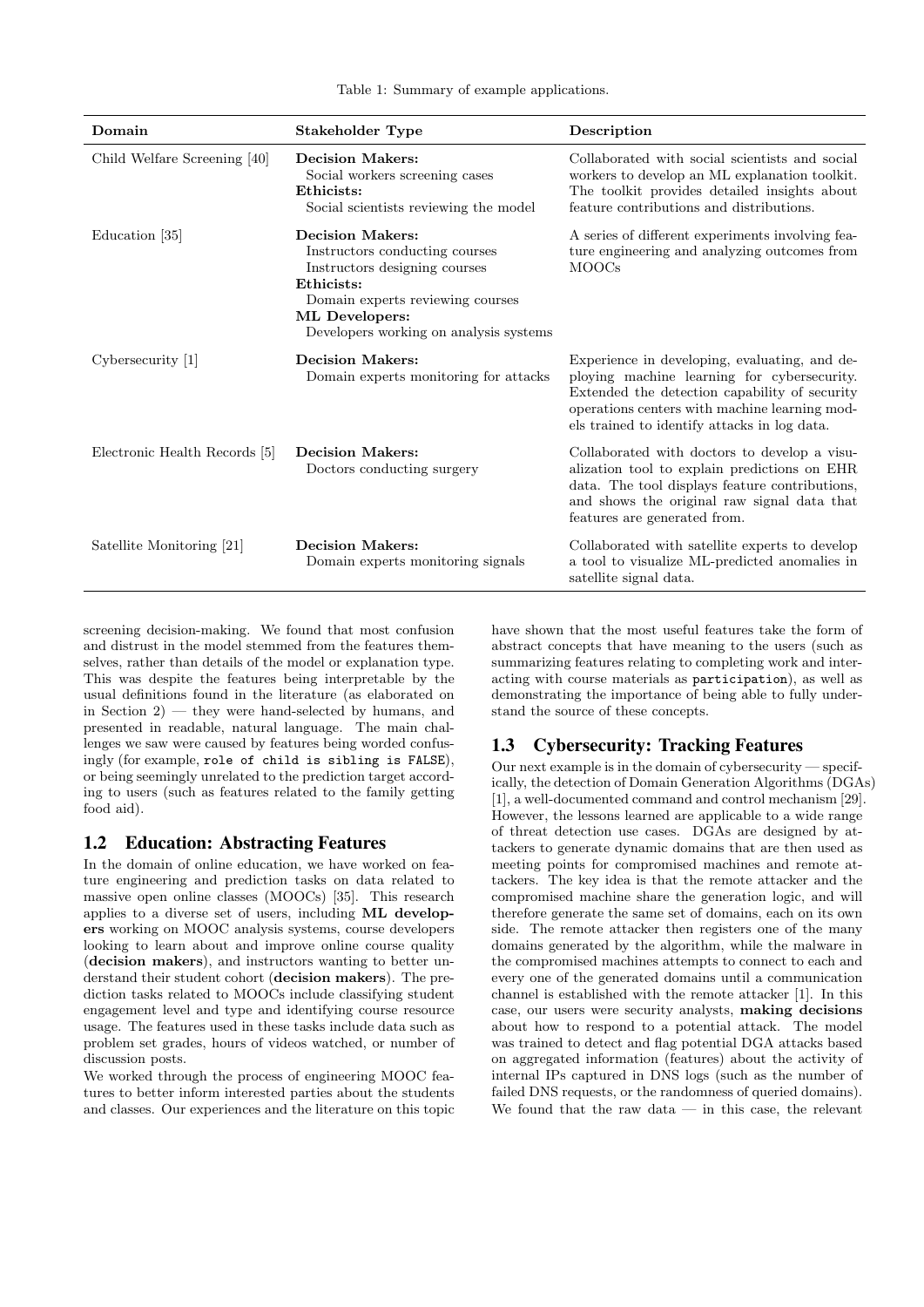Table 1: Summary of example applications.

| Domain                        | Stakeholder Type                                                                                                                                                                                         | Description                                                                                                                                                                                                                                    |
|-------------------------------|----------------------------------------------------------------------------------------------------------------------------------------------------------------------------------------------------------|------------------------------------------------------------------------------------------------------------------------------------------------------------------------------------------------------------------------------------------------|
| Child Welfare Screening [40]  | <b>Decision Makers:</b><br>Social workers screening cases<br>Ethicists:<br>Social scientists reviewing the model                                                                                         | Collaborated with social scientists and social<br>workers to develop an ML explanation toolkit.<br>The toolkit provides detailed insights about<br>feature contributions and distributions.                                                    |
| Education [35]                | <b>Decision Makers:</b><br>Instructors conducting courses<br>Instructors designing courses<br>Ethicists:<br>Domain experts reviewing courses<br>ML Developers:<br>Developers working on analysis systems | A series of different experiments involving fea-<br>ture engineering and analyzing outcomes from<br><b>MOOCs</b>                                                                                                                               |
| $Cy$ bersecurity [1]          | <b>Decision Makers:</b><br>Domain experts monitoring for attacks                                                                                                                                         | Experience in developing, evaluating, and de-<br>ploying machine learning for cybersecurity.<br>Extended the detection capability of security<br>operations centers with machine learning mod-<br>els trained to identify attacks in log data. |
| Electronic Health Records [5] | <b>Decision Makers:</b><br>Doctors conducting surgery                                                                                                                                                    | Collaborated with doctors to develop a visu-<br>alization tool to explain predictions on EHR<br>data. The tool displays feature contributions,<br>and shows the original raw signal data that<br>features are generated from.                  |
| Satellite Monitoring [21]     | <b>Decision Makers:</b><br>Domain experts monitoring signals                                                                                                                                             | Collaborated with satellite experts to develop<br>a tool to visualize ML-predicted anomalies in<br>satellite signal data.                                                                                                                      |

screening decision-making. We found that most confusion and distrust in the model stemmed from the features themselves, rather than details of the model or explanation type. This was despite the features being interpretable by the usual definitions found in the literature (as elaborated on in Section  $2$ ) — they were hand-selected by humans, and presented in readable, natural language. The main challenges we saw were caused by features being worded confusingly (for example, role of child is sibling is FALSE), or being seemingly unrelated to the prediction target according to users (such as features related to the family getting food aid).

#### 1.2 Education: Abstracting Features

In the domain of online education, we have worked on feature engineering and prediction tasks on data related to massive open online classes (MOOCs) [35]. This research applies to a diverse set of users, including ML developers working on MOOC analysis systems, course developers looking to learn about and improve online course quality (decision makers), and instructors wanting to better understand their student cohort (decision makers). The prediction tasks related to MOOCs include classifying student engagement level and type and identifying course resource usage. The features used in these tasks include data such as problem set grades, hours of videos watched, or number of discussion posts.

We worked through the process of engineering MOOC features to better inform interested parties about the students and classes. Our experiences and the literature on this topic have shown that the most useful features take the form of abstract concepts that have meaning to the users (such as summarizing features relating to completing work and interacting with course materials as participation), as well as demonstrating the importance of being able to fully understand the source of these concepts.

# 1.3 Cybersecurity: Tracking Features

Our next example is in the domain of cybersecurity — specifically, the detection of Domain Generation Algorithms (DGAs) [1], a well-documented command and control mechanism [29]. However, the lessons learned are applicable to a wide range of threat detection use cases. DGAs are designed by attackers to generate dynamic domains that are then used as meeting points for compromised machines and remote attackers. The key idea is that the remote attacker and the compromised machine share the generation logic, and will therefore generate the same set of domains, each on its own side. The remote attacker then registers one of the many domains generated by the algorithm, while the malware in the compromised machines attempts to connect to each and every one of the generated domains until a communication channel is established with the remote attacker [1]. In this case, our users were security analysts, making decisions about how to respond to a potential attack. The model was trained to detect and flag potential DGA attacks based on aggregated information (features) about the activity of internal IPs captured in DNS logs (such as the number of failed DNS requests, or the randomness of queried domains). We found that the raw data  $-$  in this case, the relevant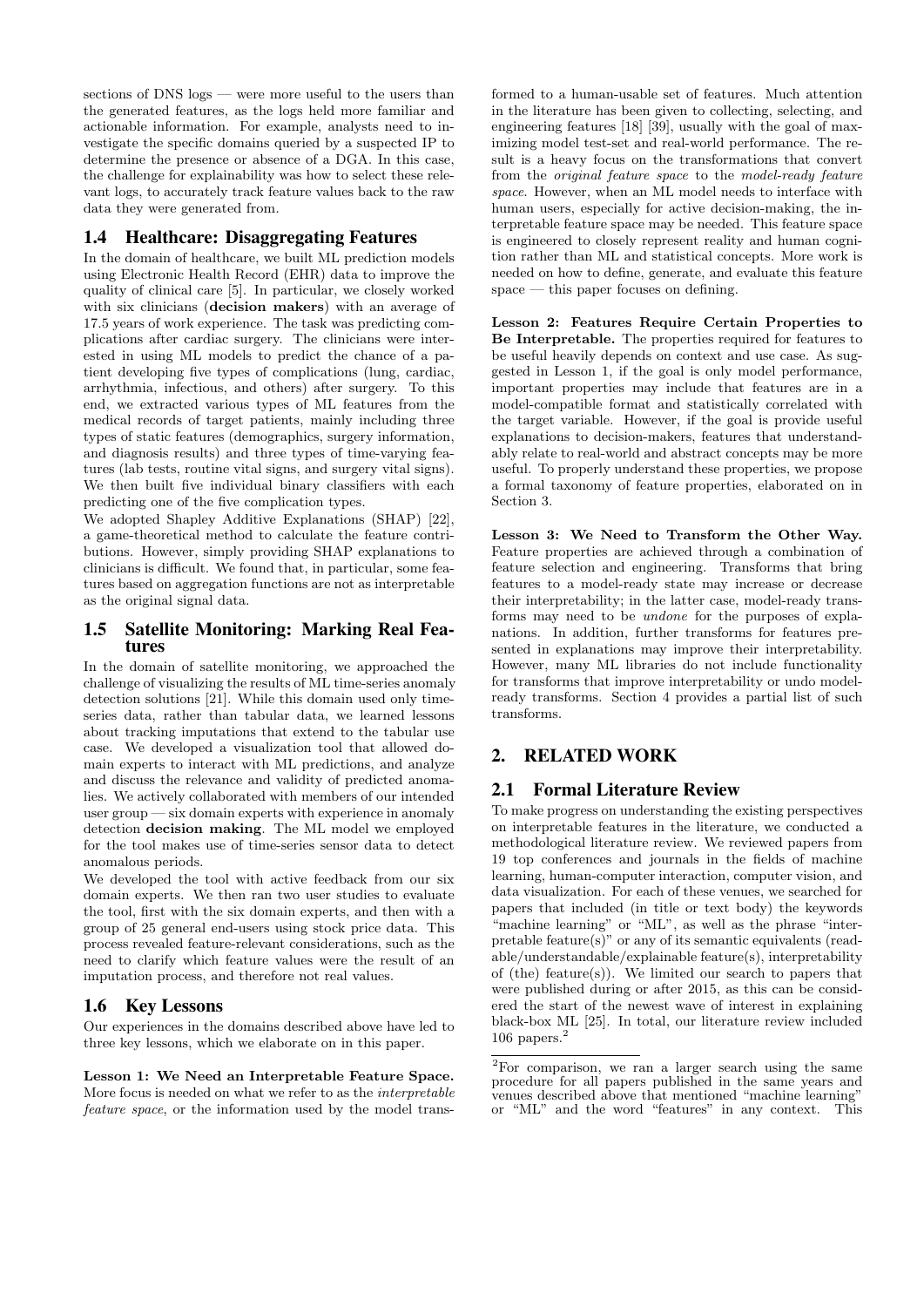sections of DNS logs — were more useful to the users than the generated features, as the logs held more familiar and actionable information. For example, analysts need to investigate the specific domains queried by a suspected IP to determine the presence or absence of a DGA. In this case, the challenge for explainability was how to select these relevant logs, to accurately track feature values back to the raw data they were generated from.

## 1.4 Healthcare: Disaggregating Features

In the domain of healthcare, we built ML prediction models using Electronic Health Record (EHR) data to improve the quality of clinical care [5]. In particular, we closely worked with six clinicians (**decision makers**) with an average of 17.5 years of work experience. The task was predicting complications after cardiac surgery. The clinicians were interested in using ML models to predict the chance of a patient developing five types of complications (lung, cardiac, arrhythmia, infectious, and others) after surgery. To this end, we extracted various types of ML features from the medical records of target patients, mainly including three types of static features (demographics, surgery information, and diagnosis results) and three types of time-varying features (lab tests, routine vital signs, and surgery vital signs). We then built five individual binary classifiers with each predicting one of the five complication types.

We adopted Shapley Additive Explanations (SHAP) [22], a game-theoretical method to calculate the feature contributions. However, simply providing SHAP explanations to clinicians is difficult. We found that, in particular, some features based on aggregation functions are not as interpretable as the original signal data.

#### 1.5 Satellite Monitoring: Marking Real Features

In the domain of satellite monitoring, we approached the challenge of visualizing the results of ML time-series anomaly detection solutions [21]. While this domain used only timeseries data, rather than tabular data, we learned lessons about tracking imputations that extend to the tabular use case. We developed a visualization tool that allowed domain experts to interact with ML predictions, and analyze and discuss the relevance and validity of predicted anomalies. We actively collaborated with members of our intended user group — six domain experts with experience in anomaly detection decision making. The ML model we employed for the tool makes use of time-series sensor data to detect anomalous periods.

We developed the tool with active feedback from our six domain experts. We then ran two user studies to evaluate the tool, first with the six domain experts, and then with a group of 25 general end-users using stock price data. This process revealed feature-relevant considerations, such as the need to clarify which feature values were the result of an imputation process, and therefore not real values.

#### 1.6 Key Lessons

Our experiences in the domains described above have led to three key lessons, which we elaborate on in this paper.

Lesson 1: We Need an Interpretable Feature Space. More focus is needed on what we refer to as the interpretable feature space, or the information used by the model trans-

formed to a human-usable set of features. Much attention in the literature has been given to collecting, selecting, and engineering features [18] [39], usually with the goal of maximizing model test-set and real-world performance. The result is a heavy focus on the transformations that convert from the original feature space to the model-ready feature space. However, when an ML model needs to interface with human users, especially for active decision-making, the interpretable feature space may be needed. This feature space is engineered to closely represent reality and human cognition rather than ML and statistical concepts. More work is needed on how to define, generate, and evaluate this feature space — this paper focuses on defining.

Lesson 2: Features Require Certain Properties to Be Interpretable. The properties required for features to be useful heavily depends on context and use case. As suggested in Lesson 1, if the goal is only model performance, important properties may include that features are in a model-compatible format and statistically correlated with the target variable. However, if the goal is provide useful explanations to decision-makers, features that understandably relate to real-world and abstract concepts may be more useful. To properly understand these properties, we propose a formal taxonomy of feature properties, elaborated on in Section 3.

Lesson 3: We Need to Transform the Other Way. Feature properties are achieved through a combination of feature selection and engineering. Transforms that bring features to a model-ready state may increase or decrease their interpretability; in the latter case, model-ready transforms may need to be undone for the purposes of explanations. In addition, further transforms for features presented in explanations may improve their interpretability. However, many ML libraries do not include functionality for transforms that improve interpretability or undo modelready transforms. Section 4 provides a partial list of such transforms.

## 2. RELATED WORK

## 2.1 Formal Literature Review

To make progress on understanding the existing perspectives on interpretable features in the literature, we conducted a methodological literature review. We reviewed papers from 19 top conferences and journals in the fields of machine learning, human-computer interaction, computer vision, and data visualization. For each of these venues, we searched for papers that included (in title or text body) the keywords "machine learning" or "ML", as well as the phrase "interpretable feature(s)" or any of its semantic equivalents (readable/understandable/explainable feature(s), interpretability of (the) feature(s)). We limited our search to papers that were published during or after 2015, as this can be considered the start of the newest wave of interest in explaining black-box ML [25]. In total, our literature review included 106 papers. $^{2}$ 

<sup>&</sup>lt;sup>2</sup>For comparison, we ran a larger search using the same procedure for all papers published in the same years and venues described above that mentioned "machine learning" or "ML" and the word "features" in any context. This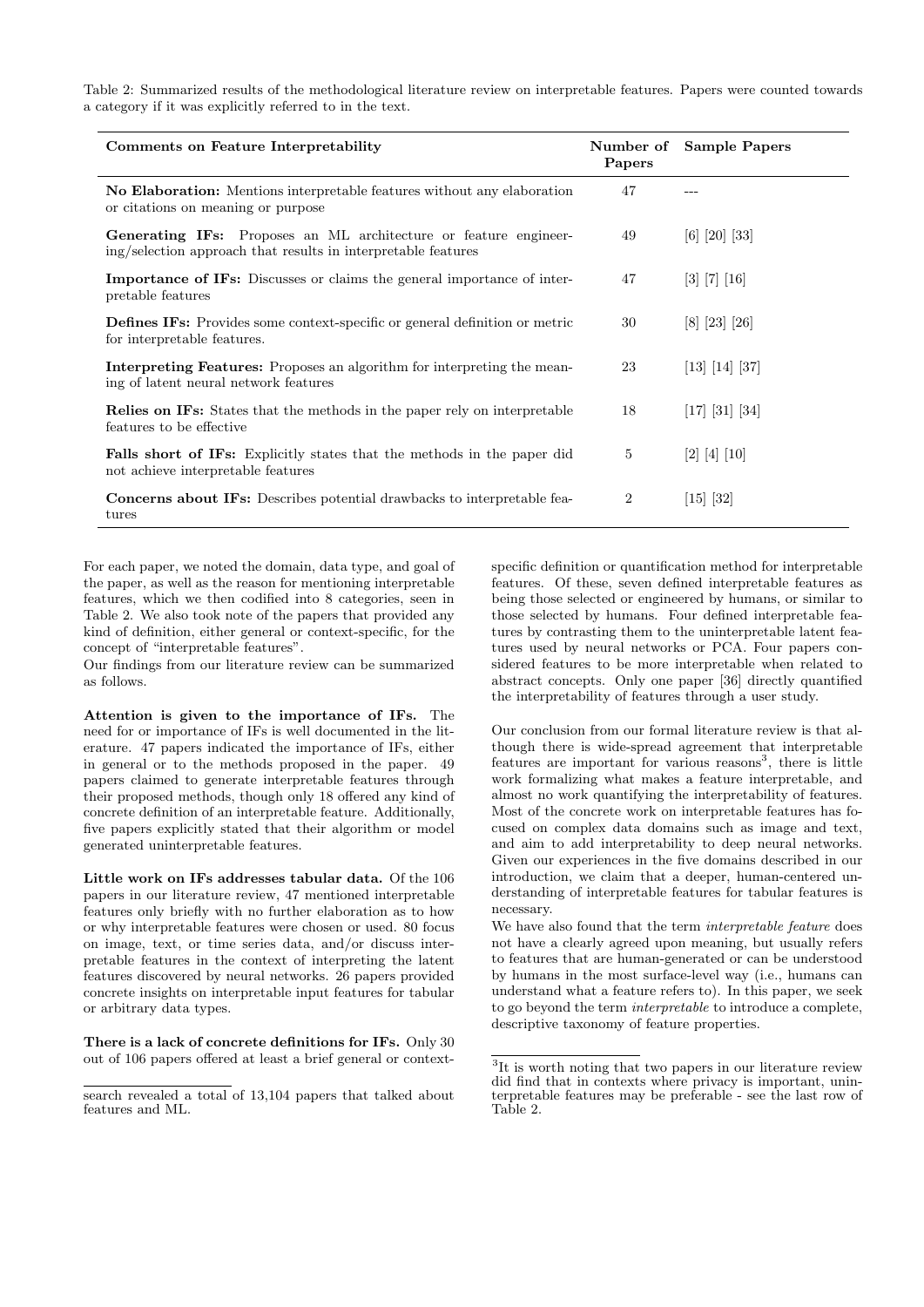Table 2: Summarized results of the methodological literature review on interpretable features. Papers were counted towards a category if it was explicitly referred to in the text.

| Comments on Feature Interpretability                                                                                                     | Papers         | Number of Sample Papers |
|------------------------------------------------------------------------------------------------------------------------------------------|----------------|-------------------------|
| <b>No Elaboration:</b> Mentions interpretable features without any elaboration<br>or citations on meaning or purpose                     | 47             |                         |
| <b>Generating IFs:</b> Proposes an ML architecture or feature engineer-<br>ing/selection approach that results in interpretable features | 49             | $[6]$ $[20]$ $[33]$     |
| <b>Importance of IFs:</b> Discusses or claims the general importance of inter-<br>pretable features                                      | 47             | [3] [7] [16]            |
| <b>Defines IFs:</b> Provides some context-specific or general definition or metric<br>for interpretable features.                        | 30             | [8] [23] [26]           |
| <b>Interpreting Features:</b> Proposes an algorithm for interpreting the mean-<br>ing of latent neural network features                  | 23             | [13] [14] [37]          |
| <b>Relies on IFs:</b> States that the methods in the paper rely on interpretable<br>features to be effective                             | 18             | $[17]$ $[31]$ $[34]$    |
| <b>Falls short of IFs:</b> Explicitly states that the methods in the paper did<br>not achieve interpretable features                     | 5              | [2] [4] [10]            |
| <b>Concerns about IFs:</b> Describes potential drawbacks to interpretable fea-<br>tures                                                  | $\overline{2}$ | [15] [32]               |

For each paper, we noted the domain, data type, and goal of the paper, as well as the reason for mentioning interpretable features, which we then codified into 8 categories, seen in Table 2. We also took note of the papers that provided any kind of definition, either general or context-specific, for the concept of "interpretable features".

Our findings from our literature review can be summarized as follows.

Attention is given to the importance of IFs. The need for or importance of IFs is well documented in the literature. 47 papers indicated the importance of IFs, either in general or to the methods proposed in the paper. 49 papers claimed to generate interpretable features through their proposed methods, though only 18 offered any kind of concrete definition of an interpretable feature. Additionally, five papers explicitly stated that their algorithm or model generated uninterpretable features.

Little work on IFs addresses tabular data. Of the 106 papers in our literature review, 47 mentioned interpretable features only briefly with no further elaboration as to how or why interpretable features were chosen or used. 80 focus on image, text, or time series data, and/or discuss interpretable features in the context of interpreting the latent features discovered by neural networks. 26 papers provided concrete insights on interpretable input features for tabular or arbitrary data types.

There is a lack of concrete definitions for IFs. Only 30 out of 106 papers offered at least a brief general or contextspecific definition or quantification method for interpretable features. Of these, seven defined interpretable features as being those selected or engineered by humans, or similar to those selected by humans. Four defined interpretable features by contrasting them to the uninterpretable latent features used by neural networks or PCA. Four papers considered features to be more interpretable when related to abstract concepts. Only one paper [36] directly quantified the interpretability of features through a user study.

Our conclusion from our formal literature review is that although there is wide-spread agreement that interpretable features are important for various reasons<sup>3</sup>, there is little work formalizing what makes a feature interpretable, and almost no work quantifying the interpretability of features. Most of the concrete work on interpretable features has focused on complex data domains such as image and text, and aim to add interpretability to deep neural networks. Given our experiences in the five domains described in our introduction, we claim that a deeper, human-centered understanding of interpretable features for tabular features is necessary.

We have also found that the term interpretable feature does not have a clearly agreed upon meaning, but usually refers to features that are human-generated or can be understood by humans in the most surface-level way (i.e., humans can understand what a feature refers to). In this paper, we seek to go beyond the term interpretable to introduce a complete, descriptive taxonomy of feature properties.

search revealed a total of 13,104 papers that talked about features and ML.

<sup>&</sup>lt;sup>3</sup>It is worth noting that two papers in our literature review did find that in contexts where privacy is important, uninterpretable features may be preferable - see the last row of Table 2.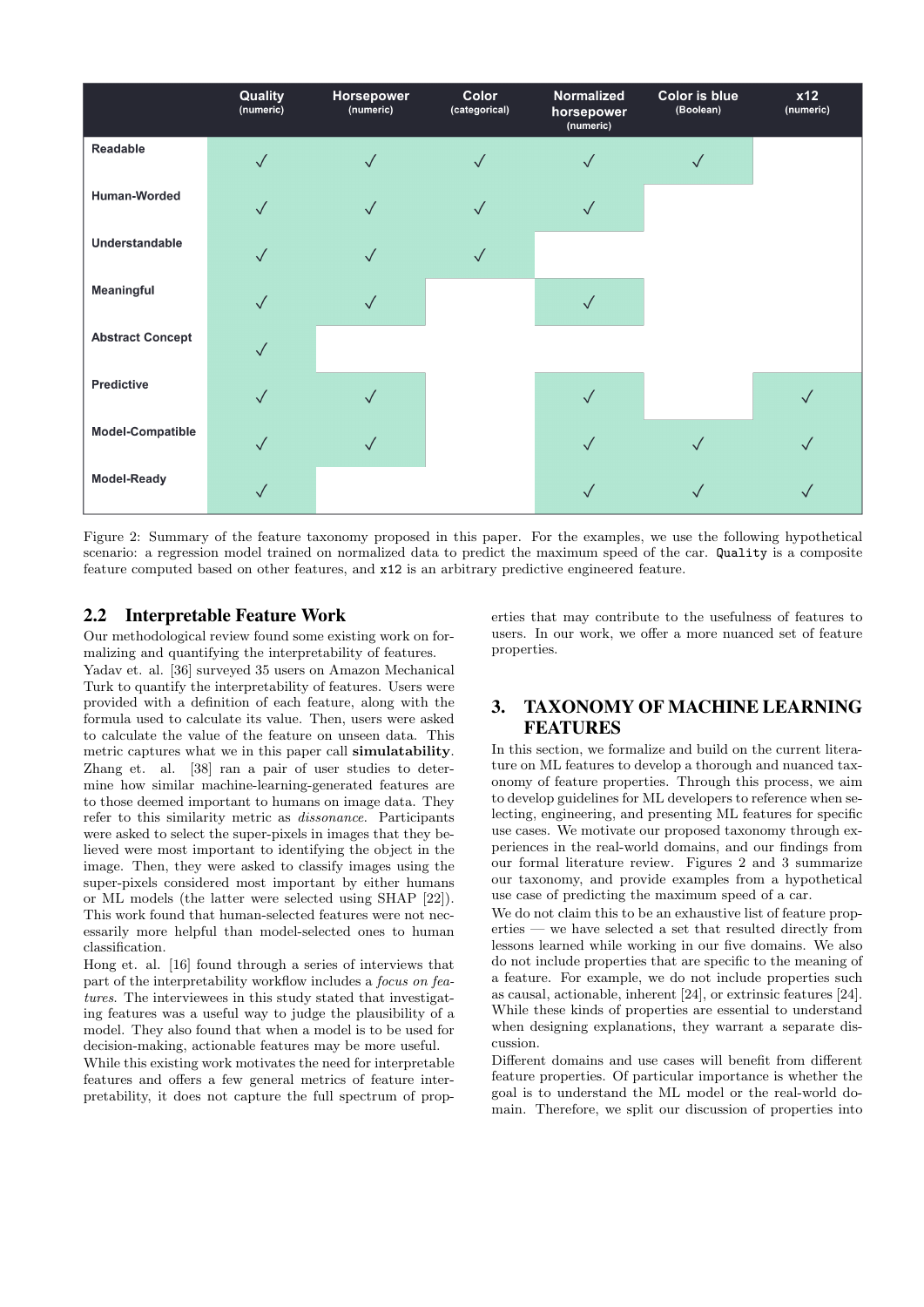

Figure 2: Summary of the feature taxonomy proposed in this paper. For the examples, we use the following hypothetical scenario: a regression model trained on normalized data to predict the maximum speed of the car. Quality is a composite feature computed based on other features, and x12 is an arbitrary predictive engineered feature.

#### 2.2 Interpretable Feature Work

Our methodological review found some existing work on formalizing and quantifying the interpretability of features.

Yadav et. al. [36] surveyed 35 users on Amazon Mechanical Turk to quantify the interpretability of features. Users were provided with a definition of each feature, along with the formula used to calculate its value. Then, users were asked to calculate the value of the feature on unseen data. This metric captures what we in this paper call simulatability. Zhang et. al. [38] ran a pair of user studies to determine how similar machine-learning-generated features are to those deemed important to humans on image data. They refer to this similarity metric as dissonance. Participants were asked to select the super-pixels in images that they believed were most important to identifying the object in the image. Then, they were asked to classify images using the super-pixels considered most important by either humans or ML models (the latter were selected using SHAP [22]). This work found that human-selected features were not necessarily more helpful than model-selected ones to human classification.

Hong et. al. [16] found through a series of interviews that part of the interpretability workflow includes a focus on features. The interviewees in this study stated that investigating features was a useful way to judge the plausibility of a model. They also found that when a model is to be used for decision-making, actionable features may be more useful.

While this existing work motivates the need for interpretable features and offers a few general metrics of feature interpretability, it does not capture the full spectrum of properties that may contribute to the usefulness of features to users. In our work, we offer a more nuanced set of feature properties.

# 3. TAXONOMY OF MACHINE LEARNING FEATURES

In this section, we formalize and build on the current literature on ML features to develop a thorough and nuanced taxonomy of feature properties. Through this process, we aim to develop guidelines for ML developers to reference when selecting, engineering, and presenting ML features for specific use cases. We motivate our proposed taxonomy through experiences in the real-world domains, and our findings from our formal literature review. Figures 2 and 3 summarize our taxonomy, and provide examples from a hypothetical use case of predicting the maximum speed of a car.

We do not claim this to be an exhaustive list of feature properties — we have selected a set that resulted directly from lessons learned while working in our five domains. We also do not include properties that are specific to the meaning of a feature. For example, we do not include properties such as causal, actionable, inherent [24], or extrinsic features [24]. While these kinds of properties are essential to understand when designing explanations, they warrant a separate discussion.

Different domains and use cases will benefit from different feature properties. Of particular importance is whether the goal is to understand the ML model or the real-world domain. Therefore, we split our discussion of properties into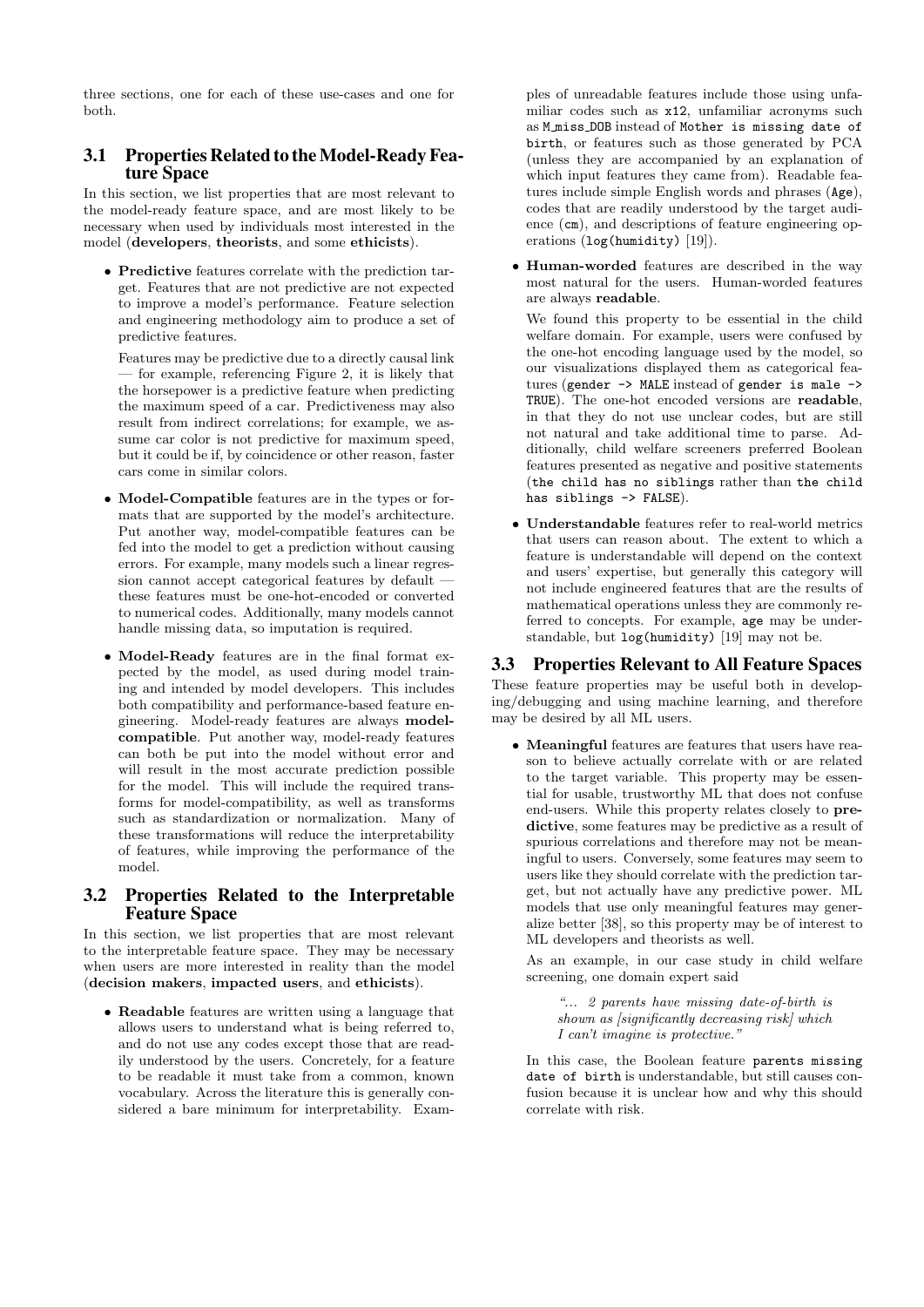three sections, one for each of these use-cases and one for both.

### 3.1 Properties Related to the Model-Ready Feature Space

In this section, we list properties that are most relevant to the model-ready feature space, and are most likely to be necessary when used by individuals most interested in the model (developers, theorists, and some ethicists).

• Predictive features correlate with the prediction target. Features that are not predictive are not expected to improve a model's performance. Feature selection and engineering methodology aim to produce a set of predictive features.

Features may be predictive due to a directly causal link for example, referencing Figure 2, it is likely that the horsepower is a predictive feature when predicting the maximum speed of a car. Predictiveness may also result from indirect correlations; for example, we assume car color is not predictive for maximum speed, but it could be if, by coincidence or other reason, faster cars come in similar colors.

- Model-Compatible features are in the types or formats that are supported by the model's architecture. Put another way, model-compatible features can be fed into the model to get a prediction without causing errors. For example, many models such a linear regression cannot accept categorical features by default these features must be one-hot-encoded or converted to numerical codes. Additionally, many models cannot handle missing data, so imputation is required.
- Model-Ready features are in the final format expected by the model, as used during model training and intended by model developers. This includes both compatibility and performance-based feature engineering. Model-ready features are always modelcompatible. Put another way, model-ready features can both be put into the model without error and will result in the most accurate prediction possible for the model. This will include the required transforms for model-compatibility, as well as transforms such as standardization or normalization. Many of these transformations will reduce the interpretability of features, while improving the performance of the model.

#### 3.2 Properties Related to the Interpretable Feature Space

In this section, we list properties that are most relevant to the interpretable feature space. They may be necessary when users are more interested in reality than the model (decision makers, impacted users, and ethicists).

• Readable features are written using a language that allows users to understand what is being referred to, and do not use any codes except those that are readily understood by the users. Concretely, for a feature to be readable it must take from a common, known vocabulary. Across the literature this is generally considered a bare minimum for interpretability. Examples of unreadable features include those using unfamiliar codes such as x12, unfamiliar acronyms such as M miss DOB instead of Mother is missing date of birth, or features such as those generated by PCA (unless they are accompanied by an explanation of which input features they came from). Readable features include simple English words and phrases (Age), codes that are readily understood by the target audience (cm), and descriptions of feature engineering operations (log(humidity) [19]).

• Human-worded features are described in the way most natural for the users. Human-worded features are always readable.

We found this property to be essential in the child welfare domain. For example, users were confused by the one-hot encoding language used by the model, so our visualizations displayed them as categorical features (gender -> MALE instead of gender is male -> TRUE). The one-hot encoded versions are readable, in that they do not use unclear codes, but are still not natural and take additional time to parse. Additionally, child welfare screeners preferred Boolean features presented as negative and positive statements (the child has no siblings rather than the child has siblings -> FALSE).

• Understandable features refer to real-world metrics that users can reason about. The extent to which a feature is understandable will depend on the context and users' expertise, but generally this category will not include engineered features that are the results of mathematical operations unless they are commonly referred to concepts. For example, age may be understandable, but log(humidity) [19] may not be.

## 3.3 Properties Relevant to All Feature Spaces

These feature properties may be useful both in developing/debugging and using machine learning, and therefore may be desired by all ML users.

• Meaningful features are features that users have reason to believe actually correlate with or are related to the target variable. This property may be essential for usable, trustworthy ML that does not confuse end-users. While this property relates closely to predictive, some features may be predictive as a result of spurious correlations and therefore may not be meaningful to users. Conversely, some features may seem to users like they should correlate with the prediction target, but not actually have any predictive power. ML models that use only meaningful features may generalize better [38], so this property may be of interest to ML developers and theorists as well.

As an example, in our case study in child welfare screening, one domain expert said

"... 2 parents have missing date-of-birth is shown as [significantly decreasing risk] which I can't imagine is protective."

In this case, the Boolean feature parents missing date of birth is understandable, but still causes confusion because it is unclear how and why this should correlate with risk.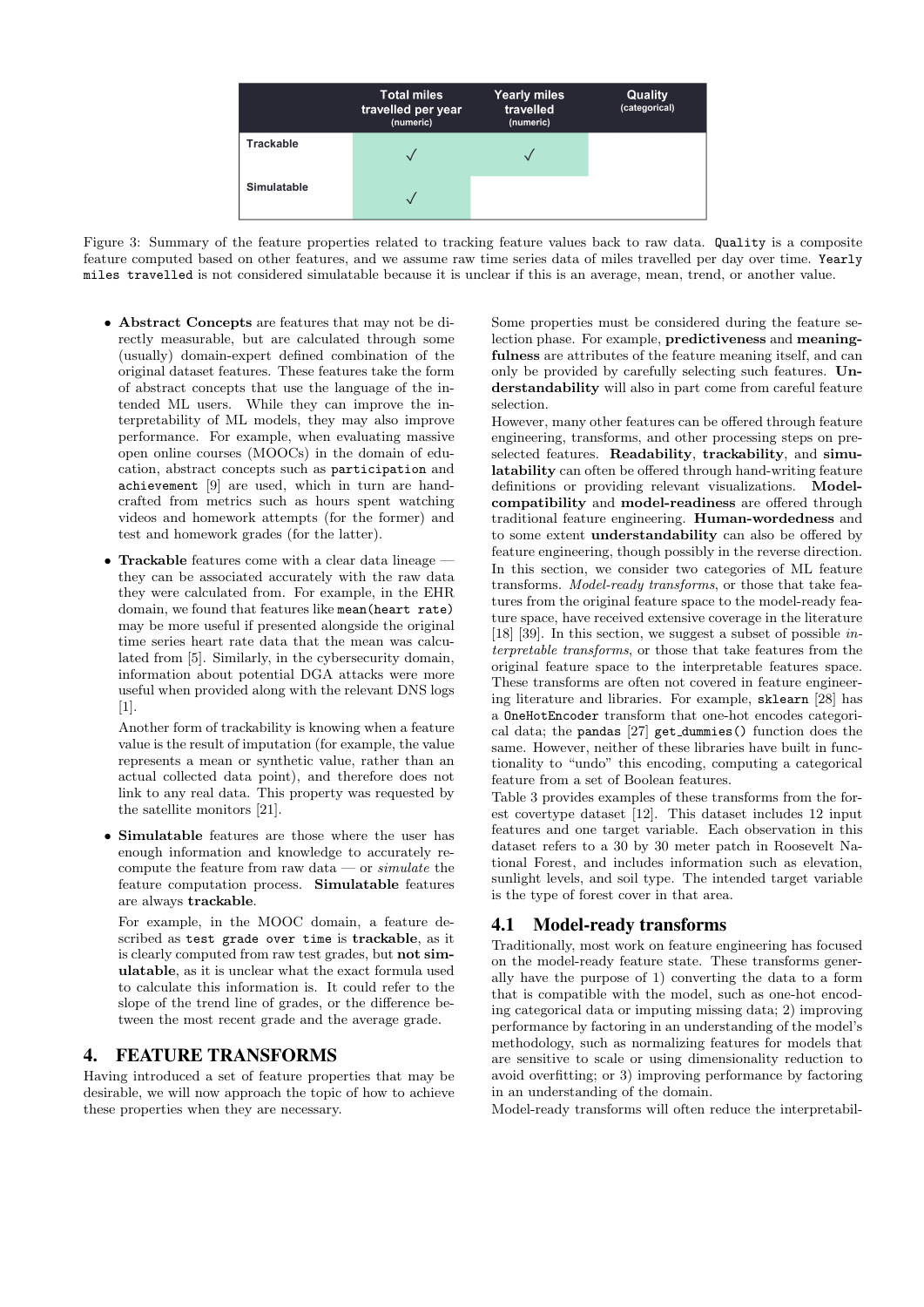

Figure 3: Summary of the feature properties related to tracking feature values back to raw data. Quality is a composite feature computed based on other features, and we assume raw time series data of miles travelled per day over time. Yearly miles travelled is not considered simulatable because it is unclear if this is an average, mean, trend, or another value.

- Abstract Concepts are features that may not be directly measurable, but are calculated through some (usually) domain-expert defined combination of the original dataset features. These features take the form of abstract concepts that use the language of the intended ML users. While they can improve the interpretability of ML models, they may also improve performance. For example, when evaluating massive open online courses (MOOCs) in the domain of education, abstract concepts such as participation and achievement [9] are used, which in turn are handcrafted from metrics such as hours spent watching videos and homework attempts (for the former) and test and homework grades (for the latter).
- Trackable features come with a clear data lineage they can be associated accurately with the raw data they were calculated from. For example, in the EHR domain, we found that features like mean(heart rate) may be more useful if presented alongside the original time series heart rate data that the mean was calculated from [5]. Similarly, in the cybersecurity domain, information about potential DGA attacks were more useful when provided along with the relevant DNS logs [1].

Another form of trackability is knowing when a feature value is the result of imputation (for example, the value represents a mean or synthetic value, rather than an actual collected data point), and therefore does not link to any real data. This property was requested by the satellite monitors [21].

• Simulatable features are those where the user has enough information and knowledge to accurately recompute the feature from raw data — or  $simulate$  the feature computation process. Simulatable features are always trackable.

For example, in the MOOC domain, a feature described as test grade over time is trackable, as it is clearly computed from raw test grades, but not simulatable, as it is unclear what the exact formula used to calculate this information is. It could refer to the slope of the trend line of grades, or the difference between the most recent grade and the average grade.

## 4. FEATURE TRANSFORMS

Having introduced a set of feature properties that may be desirable, we will now approach the topic of how to achieve these properties when they are necessary.

Some properties must be considered during the feature selection phase. For example, predictiveness and meaningfulness are attributes of the feature meaning itself, and can only be provided by carefully selecting such features. Understandability will also in part come from careful feature selection.

However, many other features can be offered through feature engineering, transforms, and other processing steps on preselected features. Readability, trackability, and simulatability can often be offered through hand-writing feature definitions or providing relevant visualizations. Modelcompatibility and model-readiness are offered through traditional feature engineering. Human-wordedness and to some extent understandability can also be offered by feature engineering, though possibly in the reverse direction. In this section, we consider two categories of ML feature transforms. Model-ready transforms, or those that take features from the original feature space to the model-ready feature space, have received extensive coverage in the literature [18] [39]. In this section, we suggest a subset of possible *in*terpretable transforms, or those that take features from the original feature space to the interpretable features space. These transforms are often not covered in feature engineering literature and libraries. For example, sklearn [28] has a OneHotEncoder transform that one-hot encodes categorical data; the pandas [27] get dummies() function does the same. However, neither of these libraries have built in functionality to "undo" this encoding, computing a categorical feature from a set of Boolean features.

Table 3 provides examples of these transforms from the forest covertype dataset [12]. This dataset includes 12 input features and one target variable. Each observation in this dataset refers to a 30 by 30 meter patch in Roosevelt National Forest, and includes information such as elevation, sunlight levels, and soil type. The intended target variable is the type of forest cover in that area.

#### 4.1 Model-ready transforms

Traditionally, most work on feature engineering has focused on the model-ready feature state. These transforms generally have the purpose of 1) converting the data to a form that is compatible with the model, such as one-hot encoding categorical data or imputing missing data; 2) improving performance by factoring in an understanding of the model's methodology, such as normalizing features for models that are sensitive to scale or using dimensionality reduction to avoid overfitting; or 3) improving performance by factoring in an understanding of the domain.

Model-ready transforms will often reduce the interpretabil-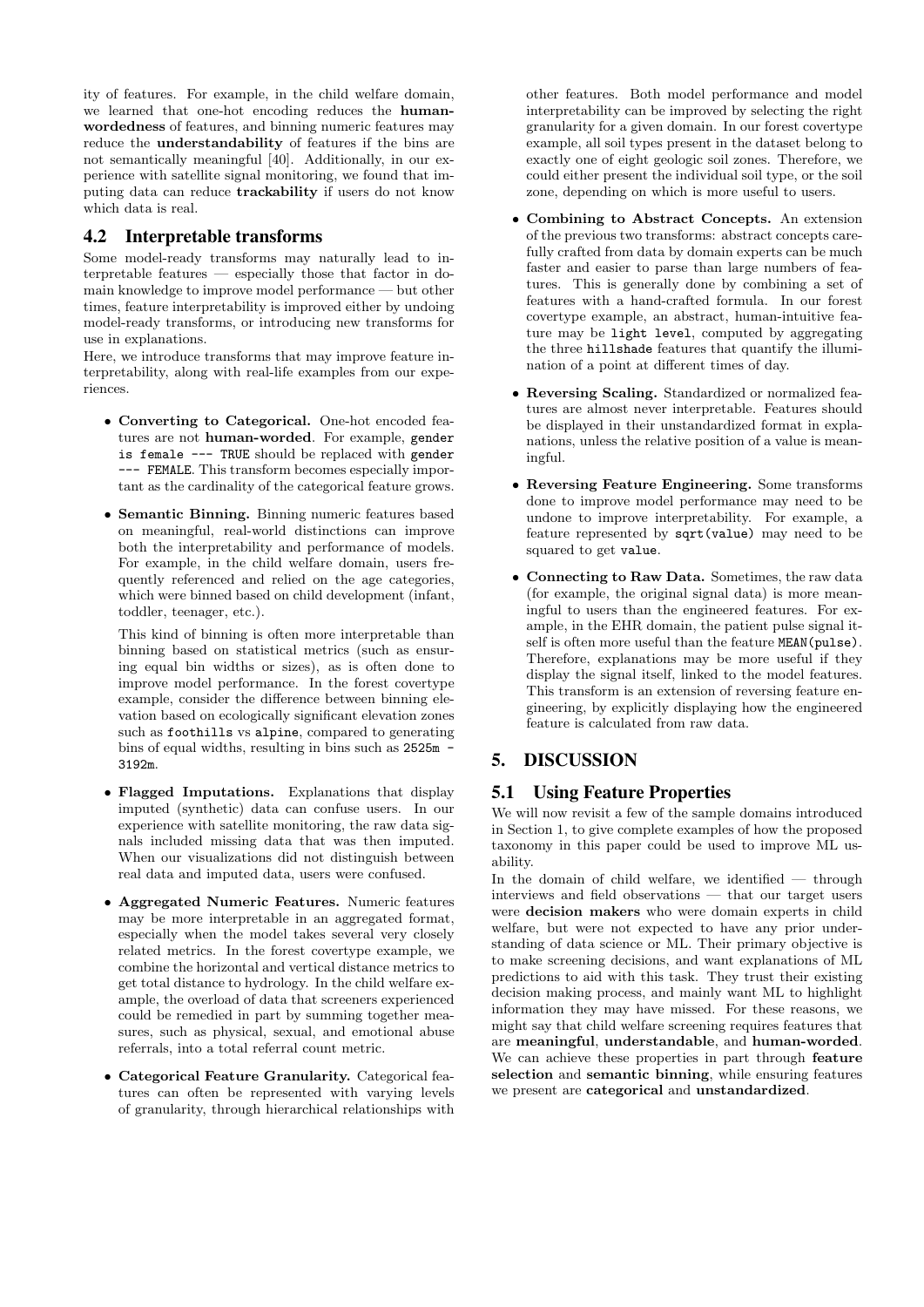ity of features. For example, in the child welfare domain, we learned that one-hot encoding reduces the humanwordedness of features, and binning numeric features may reduce the understandability of features if the bins are not semantically meaningful [40]. Additionally, in our experience with satellite signal monitoring, we found that imputing data can reduce trackability if users do not know which data is real.

## 4.2 Interpretable transforms

Some model-ready transforms may naturally lead to interpretable features — especially those that factor in domain knowledge to improve model performance — but other times, feature interpretability is improved either by undoing model-ready transforms, or introducing new transforms for use in explanations.

Here, we introduce transforms that may improve feature interpretability, along with real-life examples from our experiences.

- Converting to Categorical. One-hot encoded features are not human-worded. For example, gender is female --- TRUE should be replaced with gender --- FEMALE. This transform becomes especially important as the cardinality of the categorical feature grows.
- Semantic Binning. Binning numeric features based on meaningful, real-world distinctions can improve both the interpretability and performance of models. For example, in the child welfare domain, users frequently referenced and relied on the age categories, which were binned based on child development (infant, toddler, teenager, etc.).

This kind of binning is often more interpretable than binning based on statistical metrics (such as ensuring equal bin widths or sizes), as is often done to improve model performance. In the forest covertype example, consider the difference between binning elevation based on ecologically significant elevation zones such as foothills vs alpine, compared to generating bins of equal widths, resulting in bins such as 2525m - 3192m.

- Flagged Imputations. Explanations that display imputed (synthetic) data can confuse users. In our experience with satellite monitoring, the raw data signals included missing data that was then imputed. When our visualizations did not distinguish between real data and imputed data, users were confused.
- Aggregated Numeric Features. Numeric features may be more interpretable in an aggregated format, especially when the model takes several very closely related metrics. In the forest covertype example, we combine the horizontal and vertical distance metrics to get total distance to hydrology. In the child welfare example, the overload of data that screeners experienced could be remedied in part by summing together measures, such as physical, sexual, and emotional abuse referrals, into a total referral count metric.
- Categorical Feature Granularity. Categorical features can often be represented with varying levels of granularity, through hierarchical relationships with

other features. Both model performance and model interpretability can be improved by selecting the right granularity for a given domain. In our forest covertype example, all soil types present in the dataset belong to exactly one of eight geologic soil zones. Therefore, we could either present the individual soil type, or the soil zone, depending on which is more useful to users.

- Combining to Abstract Concepts. An extension of the previous two transforms: abstract concepts carefully crafted from data by domain experts can be much faster and easier to parse than large numbers of features. This is generally done by combining a set of features with a hand-crafted formula. In our forest covertype example, an abstract, human-intuitive feature may be light level, computed by aggregating the three hillshade features that quantify the illumination of a point at different times of day.
- Reversing Scaling. Standardized or normalized features are almost never interpretable. Features should be displayed in their unstandardized format in explanations, unless the relative position of a value is meaningful.
- Reversing Feature Engineering. Some transforms done to improve model performance may need to be undone to improve interpretability. For example, a feature represented by sqrt(value) may need to be squared to get value.
- Connecting to Raw Data. Sometimes, the raw data (for example, the original signal data) is more meaningful to users than the engineered features. For example, in the EHR domain, the patient pulse signal itself is often more useful than the feature MEAN(pulse). Therefore, explanations may be more useful if they display the signal itself, linked to the model features. This transform is an extension of reversing feature engineering, by explicitly displaying how the engineered feature is calculated from raw data.

# 5. DISCUSSION

## 5.1 Using Feature Properties

We will now revisit a few of the sample domains introduced in Section 1, to give complete examples of how the proposed taxonomy in this paper could be used to improve ML usability.

In the domain of child welfare, we identified — through interviews and field observations — that our target users were decision makers who were domain experts in child welfare, but were not expected to have any prior understanding of data science or ML. Their primary objective is to make screening decisions, and want explanations of ML predictions to aid with this task. They trust their existing decision making process, and mainly want ML to highlight information they may have missed. For these reasons, we might say that child welfare screening requires features that are meaningful, understandable, and human-worded. We can achieve these properties in part through feature selection and semantic binning, while ensuring features we present are categorical and unstandardized.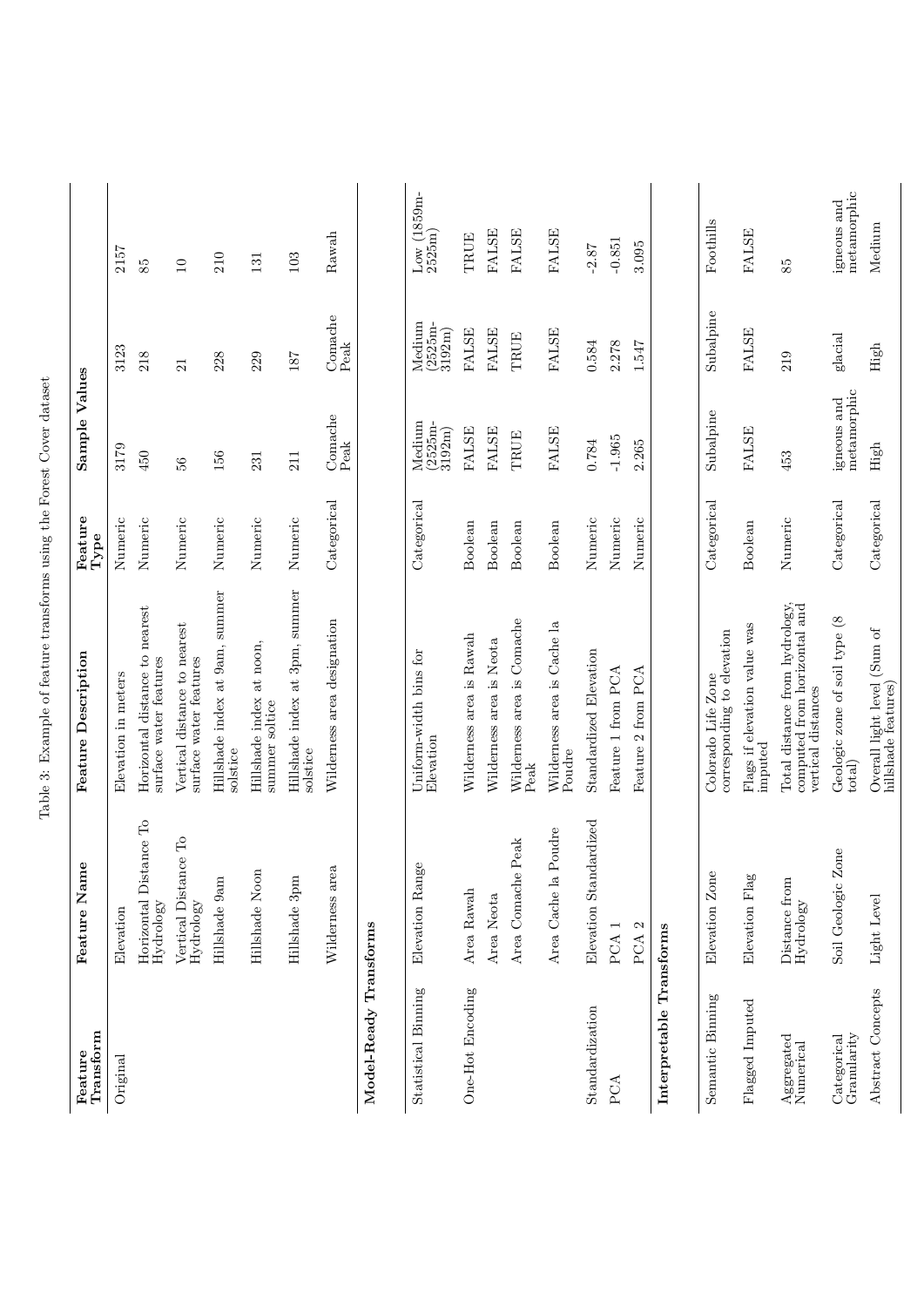| Transform<br>Feature       | ne<br>Feature Nan                            | <b>Feature Description</b>                                                                                             | Feature<br>${\rm Type}$ | Sample Values                         |                                       |                                      |
|----------------------------|----------------------------------------------|------------------------------------------------------------------------------------------------------------------------|-------------------------|---------------------------------------|---------------------------------------|--------------------------------------|
| Original                   | Elevation                                    | Elevation in meters                                                                                                    | Numeric                 | 3179                                  | 3123                                  | 2157                                 |
|                            | Horizontal Distance To<br>Hydrology          | Horizontal distance to nearest<br>surface water features                                                               | Numeric                 | 450                                   | 218                                   | 85                                   |
|                            | Vertical Distance To<br>Hydrology            | Vertical distance to nearest<br>surface water features                                                                 | Numeric                 | 56                                    | 21                                    | 10                                   |
|                            | Hillshade 9am                                | Hillshade index at 9am, summer<br>solstice                                                                             | Numeric                 | 156                                   | 228                                   | 210                                  |
|                            | Hillshade Noon                               | Hillshade index at noon,<br>summer soltice                                                                             | Numeric                 | 231                                   | 229                                   | 131                                  |
|                            | Hillshade 3pm                                | Hillshade index at 3pm, summer<br>solstice                                                                             | Numeric                 | $\frac{11}{2}$                        | 187                                   | 103                                  |
|                            | Wilderness area                              | Wilderness area designation                                                                                            | Categorical             | Comache<br>$\ensuremath{\text{Peak}}$ | Comache<br>$\ensuremath{\text{Peak}}$ | Rawah                                |
| Model-Ready                | Transforms                                   |                                                                                                                        |                         |                                       |                                       |                                      |
| Statistical Binning        | ge<br>Elevation Ran                          | Uniform-width bins for<br>Elevation                                                                                    | Categorical             | Medium<br>2525m-<br>3192m             | Medium<br>(2525m-<br>3192m            | $_{\rm Low}$ (1859m- $_{\rm 2525m)}$ |
| One-Hot Encoding           | Area Rawah                                   | Wilderness area is Rawah                                                                                               | Boolean                 | <b>FALSE</b>                          | <b>FALSE</b>                          | TRUE                                 |
|                            | Area Neota                                   | Wilderness area is Neota                                                                                               | Boolean                 | <b>FALSE</b>                          | FALSE                                 | <b>FALSE</b>                         |
|                            | $\ensuremath{\mathrm{Peak}}$<br>Area Comache | Wilderness area is Comache<br>Peak                                                                                     | Boolean                 | TRUE                                  | TRUE                                  | <b>FALSE</b>                         |
|                            | Poudre<br>Area Cache la                      | Wilderness area is Cache la<br>Poudre                                                                                  | Boolean                 | FALSE                                 | <b>FALSE</b>                          | <b>FALSE</b>                         |
| Standardization            | Elevation Standardized                       | Standardized Elevation                                                                                                 | Numeric                 | 0.784                                 | 0.584                                 | $-2.87$                              |
| PCA                        | PCA <sub>1</sub>                             | Feature 1 from PCA                                                                                                     | Numeric                 | $-1.965$                              | 2.278                                 | $-0.851$                             |
|                            | PCA <sub>2</sub>                             | Feature 2 from PCA                                                                                                     | Numeric                 | 2.265                                 | 1.547                                 | 3.095                                |
| Interpretable Transforms   |                                              |                                                                                                                        |                         |                                       |                                       |                                      |
| Semantic Binning           | Elevation Zone                               | corresponding to elevation<br>Colorado Life Zone                                                                       | Categorical             | Subalpine                             | Subalpine                             | Foothills                            |
| Flagged Imputed            | Elevation Flag                               | Flags if elevation value was<br>imputed                                                                                | Boolean                 | <b>FALSE</b>                          | <b>FALSE</b>                          | <b>FALSE</b>                         |
| Aggregated<br>Numerical    | Distance from<br>Hydrology                   | Total distance from hydrology,<br>computed from horizontal and<br>vertical distances                                   | Numeric                 | 453                                   | 219                                   | 85                                   |
| Granularity<br>Categorical | Zone<br>Soil Geologic                        | Geologic zone of soil type (8<br>$_{\rm total)}$                                                                       | Categorical             | metamorphic<br>igneous and            | $g$ lacial                            | metamorphic<br>igneous and           |
| Abstract Concepts          | Light Level                                  | $\begin{array}{l} \text{Overall light level (Sum of} \\ \text{hills} \text{had} \text{e} \text{statuses)} \end{array}$ | Categorical             | High                                  | $\rm{High}$                           | Medium                               |

| ļ<br>۱<br>ì<br>l<br>ï<br>Ï<br>Ì                                                                                                              |
|----------------------------------------------------------------------------------------------------------------------------------------------|
| I<br>\$<br>¢<br>i<br>ı<br>)<br>Ï<br>ļ<br>ł                                                                                                   |
| ١<br>¢<br>ı<br>j<br>֚֡֡<br>í<br>j<br>J                                                                                                       |
| í<br>j                                                                                                                                       |
| ı<br>ׇ֚֘<br>֠<br>ׇ֚֘<br>j<br>֕<br>ׇ֚֘<br>I<br>ׇ֘֒<br>ׇ֚֘֡<br>Î<br>I<br>i<br>ı                                                                |
| $\overline{1}$<br>١<br>j<br>l                                                                                                                |
| ׇ֚֘<br>Ï                                                                                                                                     |
| l<br>ı<br>l<br>ł<br>l<br>ï<br>֠<br>ׇ֚֘֡<br>I<br>ׇ֚֘֝֬<br>I<br>֚֘<br>Ï<br>֖֖֖֖֧֖ׅ֖ׅ֧ׅ֖֖֧֪֪ׅ֖֧ׅ֧֧֚֚֚֚֚֚֚֚֚֚֚֚֚֚֚֚֚֚֚֚֚֚֚֚֚֚֚֚֡֝֝֬֓֞֝֓֞֝֬֞<br>ļ |
| ١<br>I                                                                                                                                       |
| ı<br>١<br>ׇ֚֓֡                                                                                                                               |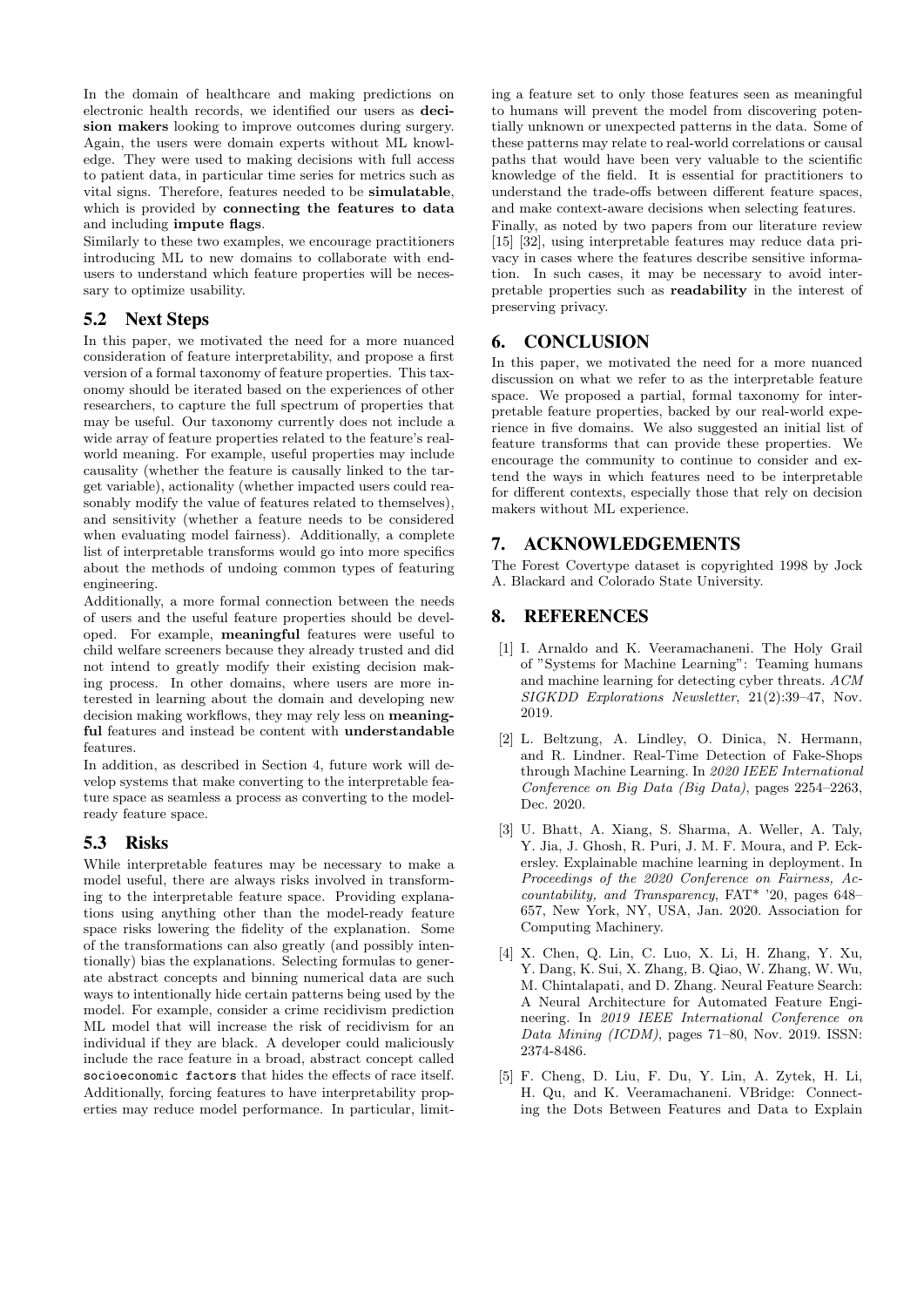In the domain of healthcare and making predictions on electronic health records, we identified our users as decision makers looking to improve outcomes during surgery. Again, the users were domain experts without ML knowledge. They were used to making decisions with full access to patient data, in particular time series for metrics such as vital signs. Therefore, features needed to be simulatable, which is provided by connecting the features to data and including impute flags.

Similarly to these two examples, we encourage practitioners introducing ML to new domains to collaborate with endusers to understand which feature properties will be necessary to optimize usability.

# 5.2 Next Steps

In this paper, we motivated the need for a more nuanced consideration of feature interpretability, and propose a first version of a formal taxonomy of feature properties. This taxonomy should be iterated based on the experiences of other researchers, to capture the full spectrum of properties that may be useful. Our taxonomy currently does not include a wide array of feature properties related to the feature's realworld meaning. For example, useful properties may include causality (whether the feature is causally linked to the target variable), actionality (whether impacted users could reasonably modify the value of features related to themselves), and sensitivity (whether a feature needs to be considered when evaluating model fairness). Additionally, a complete list of interpretable transforms would go into more specifics about the methods of undoing common types of featuring engineering.

Additionally, a more formal connection between the needs of users and the useful feature properties should be developed. For example, meaningful features were useful to child welfare screeners because they already trusted and did not intend to greatly modify their existing decision making process. In other domains, where users are more interested in learning about the domain and developing new decision making workflows, they may rely less on meaningful features and instead be content with understandable features.

In addition, as described in Section 4, future work will develop systems that make converting to the interpretable feature space as seamless a process as converting to the modelready feature space.

## 5.3 Risks

While interpretable features may be necessary to make a model useful, there are always risks involved in transforming to the interpretable feature space. Providing explanations using anything other than the model-ready feature space risks lowering the fidelity of the explanation. Some of the transformations can also greatly (and possibly intentionally) bias the explanations. Selecting formulas to generate abstract concepts and binning numerical data are such ways to intentionally hide certain patterns being used by the model. For example, consider a crime recidivism prediction ML model that will increase the risk of recidivism for an individual if they are black. A developer could maliciously include the race feature in a broad, abstract concept called socioeconomic factors that hides the effects of race itself. Additionally, forcing features to have interpretability properties may reduce model performance. In particular, limiting a feature set to only those features seen as meaningful to humans will prevent the model from discovering potentially unknown or unexpected patterns in the data. Some of these patterns may relate to real-world correlations or causal paths that would have been very valuable to the scientific knowledge of the field. It is essential for practitioners to understand the trade-offs between different feature spaces, and make context-aware decisions when selecting features.

Finally, as noted by two papers from our literature review [15] [32], using interpretable features may reduce data privacy in cases where the features describe sensitive information. In such cases, it may be necessary to avoid interpretable properties such as readability in the interest of preserving privacy.

# 6. CONCLUSION

In this paper, we motivated the need for a more nuanced discussion on what we refer to as the interpretable feature space. We proposed a partial, formal taxonomy for interpretable feature properties, backed by our real-world experience in five domains. We also suggested an initial list of feature transforms that can provide these properties. We encourage the community to continue to consider and extend the ways in which features need to be interpretable for different contexts, especially those that rely on decision makers without ML experience.

# 7. ACKNOWLEDGEMENTS

The Forest Covertype dataset is copyrighted 1998 by Jock A. Blackard and Colorado State University.

# 8. REFERENCES

- [1] I. Arnaldo and K. Veeramachaneni. The Holy Grail of "Systems for Machine Learning": Teaming humans and machine learning for detecting cyber threats. ACM SIGKDD Explorations Newsletter, 21(2):39–47, Nov. 2019.
- [2] L. Beltzung, A. Lindley, O. Dinica, N. Hermann, and R. Lindner. Real-Time Detection of Fake-Shops through Machine Learning. In 2020 IEEE International Conference on Big Data (Big Data), pages 2254–2263, Dec. 2020.
- [3] U. Bhatt, A. Xiang, S. Sharma, A. Weller, A. Taly, Y. Jia, J. Ghosh, R. Puri, J. M. F. Moura, and P. Eckersley. Explainable machine learning in deployment. In Proceedings of the 2020 Conference on Fairness, Accountability, and Transparency, FAT\* '20, pages 648– 657, New York, NY, USA, Jan. 2020. Association for Computing Machinery.
- [4] X. Chen, Q. Lin, C. Luo, X. Li, H. Zhang, Y. Xu, Y. Dang, K. Sui, X. Zhang, B. Qiao, W. Zhang, W. Wu, M. Chintalapati, and D. Zhang. Neural Feature Search: A Neural Architecture for Automated Feature Engineering. In 2019 IEEE International Conference on Data Mining (ICDM), pages 71–80, Nov. 2019. ISSN: 2374-8486.
- [5] F. Cheng, D. Liu, F. Du, Y. Lin, A. Zytek, H. Li, H. Qu, and K. Veeramachaneni. VBridge: Connecting the Dots Between Features and Data to Explain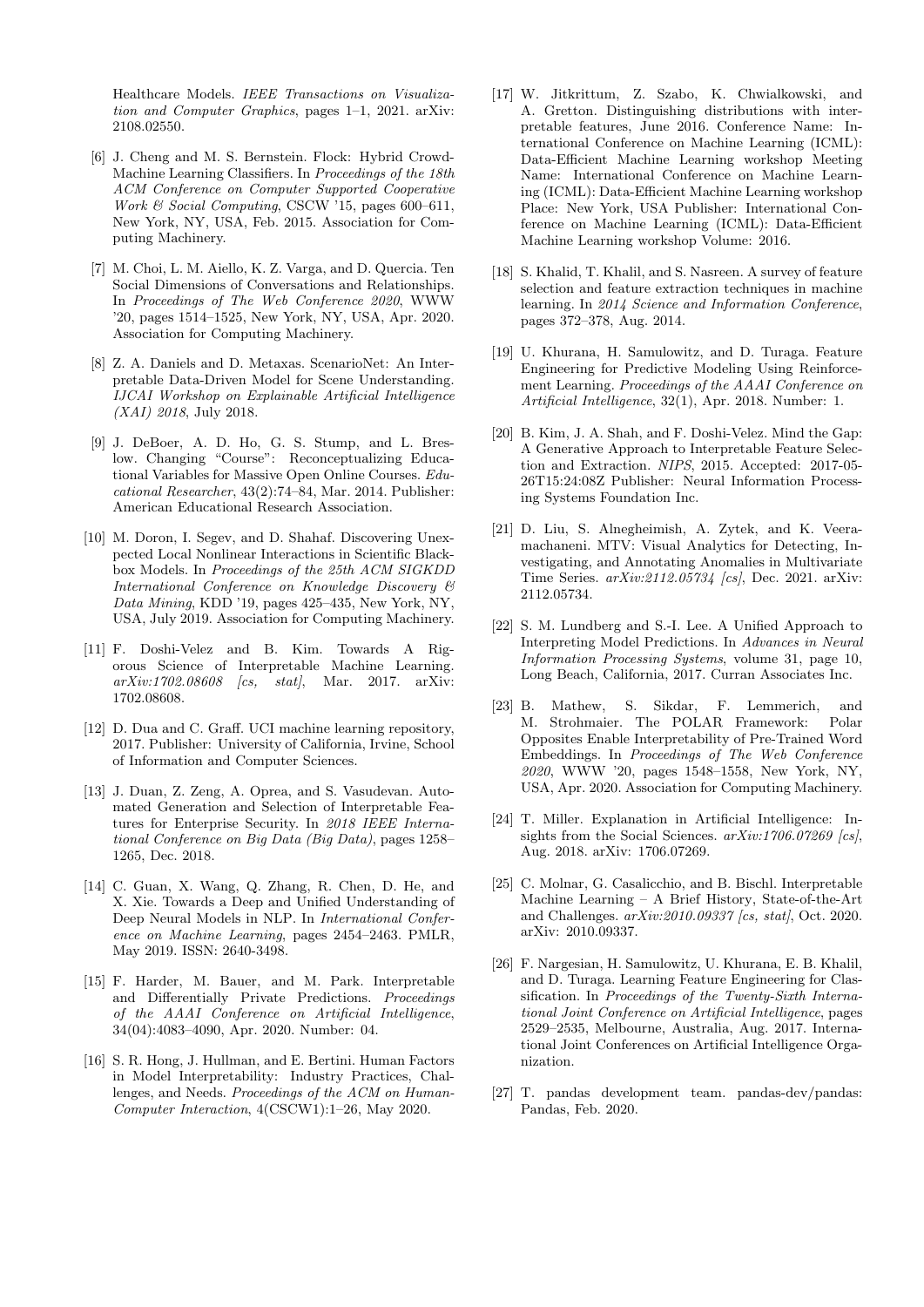Healthcare Models. IEEE Transactions on Visualization and Computer Graphics, pages 1–1, 2021. arXiv: 2108.02550.

- [6] J. Cheng and M. S. Bernstein. Flock: Hybrid Crowd-Machine Learning Classifiers. In Proceedings of the 18th ACM Conference on Computer Supported Cooperative Work & Social Computing, CSCW '15, pages 600–611, New York, NY, USA, Feb. 2015. Association for Computing Machinery.
- [7] M. Choi, L. M. Aiello, K. Z. Varga, and D. Quercia. Ten Social Dimensions of Conversations and Relationships. In Proceedings of The Web Conference 2020, WWW '20, pages 1514–1525, New York, NY, USA, Apr. 2020. Association for Computing Machinery.
- [8] Z. A. Daniels and D. Metaxas. ScenarioNet: An Interpretable Data-Driven Model for Scene Understanding. IJCAI Workshop on Explainable Artificial Intelligence (XAI) 2018, July 2018.
- [9] J. DeBoer, A. D. Ho, G. S. Stump, and L. Breslow. Changing "Course": Reconceptualizing Educational Variables for Massive Open Online Courses. Educational Researcher, 43(2):74–84, Mar. 2014. Publisher: American Educational Research Association.
- [10] M. Doron, I. Segev, and D. Shahaf. Discovering Unexpected Local Nonlinear Interactions in Scientific Blackbox Models. In Proceedings of the 25th ACM SIGKDD International Conference on Knowledge Discovery & Data Mining, KDD '19, pages 425–435, New York, NY, USA, July 2019. Association for Computing Machinery.
- [11] F. Doshi-Velez and B. Kim. Towards A Rigorous Science of Interpretable Machine Learning.  $arXiv:1702.08608$  [cs, stat], Mar. 2017. arXiv: 1702.08608.
- [12] D. Dua and C. Graff. UCI machine learning repository, 2017. Publisher: University of California, Irvine, School of Information and Computer Sciences.
- [13] J. Duan, Z. Zeng, A. Oprea, and S. Vasudevan. Automated Generation and Selection of Interpretable Features for Enterprise Security. In 2018 IEEE International Conference on Big Data (Big Data), pages 1258– 1265, Dec. 2018.
- [14] C. Guan, X. Wang, Q. Zhang, R. Chen, D. He, and X. Xie. Towards a Deep and Unified Understanding of Deep Neural Models in NLP. In International Conference on Machine Learning, pages 2454–2463. PMLR, May 2019. ISSN: 2640-3498.
- [15] F. Harder, M. Bauer, and M. Park. Interpretable and Differentially Private Predictions. Proceedings of the AAAI Conference on Artificial Intelligence, 34(04):4083–4090, Apr. 2020. Number: 04.
- [16] S. R. Hong, J. Hullman, and E. Bertini. Human Factors in Model Interpretability: Industry Practices, Challenges, and Needs. Proceedings of the ACM on Human-Computer Interaction, 4(CSCW1):1–26, May 2020.
- [17] W. Jitkrittum, Z. Szabo, K. Chwialkowski, and A. Gretton. Distinguishing distributions with interpretable features, June 2016. Conference Name: International Conference on Machine Learning (ICML): Data-Efficient Machine Learning workshop Meeting Name: International Conference on Machine Learning (ICML): Data-Efficient Machine Learning workshop Place: New York, USA Publisher: International Conference on Machine Learning (ICML): Data-Efficient Machine Learning workshop Volume: 2016.
- [18] S. Khalid, T. Khalil, and S. Nasreen. A survey of feature selection and feature extraction techniques in machine learning. In 2014 Science and Information Conference, pages 372–378, Aug. 2014.
- [19] U. Khurana, H. Samulowitz, and D. Turaga. Feature Engineering for Predictive Modeling Using Reinforcement Learning. Proceedings of the AAAI Conference on Artificial Intelligence, 32(1), Apr. 2018. Number: 1.
- [20] B. Kim, J. A. Shah, and F. Doshi-Velez. Mind the Gap: A Generative Approach to Interpretable Feature Selection and Extraction. NIPS, 2015. Accepted: 2017-05- 26T15:24:08Z Publisher: Neural Information Processing Systems Foundation Inc.
- [21] D. Liu, S. Alnegheimish, A. Zytek, and K. Veeramachaneni. MTV: Visual Analytics for Detecting, Investigating, and Annotating Anomalies in Multivariate Time Series. arXiv:2112.05734 [cs], Dec. 2021. arXiv: 2112.05734.
- [22] S. M. Lundberg and S.-I. Lee. A Unified Approach to Interpreting Model Predictions. In Advances in Neural Information Processing Systems, volume 31, page 10, Long Beach, California, 2017. Curran Associates Inc.
- [23] B. Mathew, S. Sikdar, F. Lemmerich, and M. Strohmaier. The POLAR Framework: Polar Opposites Enable Interpretability of Pre-Trained Word Embeddings. In Proceedings of The Web Conference 2020, WWW '20, pages 1548–1558, New York, NY, USA, Apr. 2020. Association for Computing Machinery.
- [24] T. Miller. Explanation in Artificial Intelligence: Insights from the Social Sciences.  $arXiv:1706.07269$  [cs], Aug. 2018. arXiv: 1706.07269.
- [25] C. Molnar, G. Casalicchio, and B. Bischl. Interpretable Machine Learning – A Brief History, State-of-the-Art and Challenges.  $arXiv:2010.09337$  [cs, stat], Oct. 2020. arXiv: 2010.09337.
- [26] F. Nargesian, H. Samulowitz, U. Khurana, E. B. Khalil, and D. Turaga. Learning Feature Engineering for Classification. In Proceedings of the Twenty-Sixth International Joint Conference on Artificial Intelligence, pages 2529–2535, Melbourne, Australia, Aug. 2017. International Joint Conferences on Artificial Intelligence Organization.
- [27] T. pandas development team. pandas-dev/pandas: Pandas, Feb. 2020.